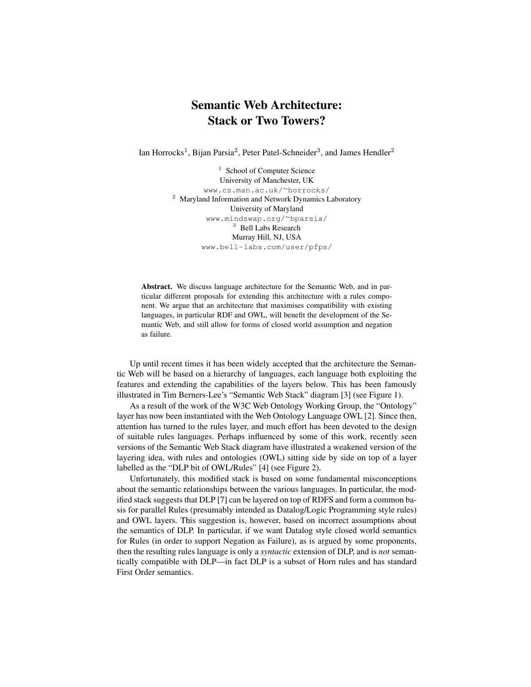## Semantic Web Architecture: Stack or Two Towers?

Ian Horrocks<sup>1</sup>, Bijan Parsia<sup>2</sup>, Peter Patel-Schneider<sup>3</sup>, and James Hendler<sup>2</sup>

<sup>1</sup> School of Computer Science University of Manchester, UK www.cs.man.ac.uk/∼horrocks/ <sup>2</sup> Maryland Information and Network Dynamics Laboratory University of Maryland www.mindswap.org/∼bparsia/ <sup>3</sup> Bell Labs Research Murray Hill, NJ, USA www.bell-labs.com/user/pfps/

Abstract. We discuss language architecture for the Semantic Web, and in particular different proposals for extending this architecture with a rules component. We argue that an architecture that maximises compatibility with existing languages, in particular RDF and OWL, will benefit the development of the Semantic Web, and still allow for forms of closed world assumption and negation as failure.

Up until recent times it has been widely accepted that the architecture the Semantic Web will be based on a hierarchy of languages, each language both exploiting the features and extending the capabilities of the layers below. This has been famously illustrated in Tim Berners-Lee's "Semantic Web Stack" diagram [3] (see Figure 1).

As a result of the work of the W3C Web Ontology Working Group, the "Ontology" layer has now been instantiated with the Web Ontology Language OWL [2]. Since then, attention has turned to the rules layer, and much effort has been devoted to the design of suitable rules languages. Perhaps influenced by some of this work, recently seen versions of the Semantic Web Stack diagram have illustrated a weakened version of the layering idea, with rules and ontologies (OWL) sitting side by side on top of a layer labelled as the "DLP bit of OWL/Rules" [4] (see Figure 2).

Unfortunately, this modified stack is based on some fundamental misconceptions about the semantic relationships between the various languages. In particular, the modified stack suggests that DLP [7] can be layered on top of RDFS and form a common basis for parallel Rules (presumably intended as Datalog/Logic Programming style rules) and OWL layers. This suggestion is, however, based on incorrect assumptions about the semantics of DLP. In particular, if we want Datalog style closed world semantics for Rules (in order to support Negation as Failure), as is argued by some proponents, then the resulting rules language is only a *syntactic* extension of DLP, and is *not* semantically compatible with DLP—in fact DLP is a subset of Horn rules and has standard First Order semantics.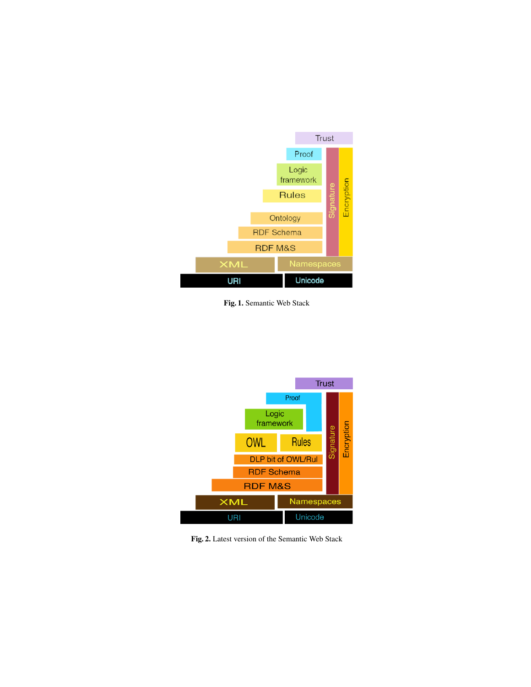

Fig. 1. Semantic Web Stack



Fig. 2. Latest version of the Semantic Web Stack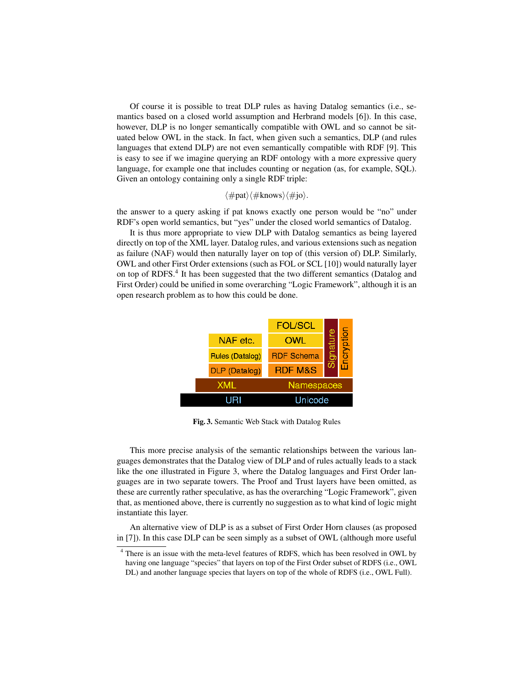Of course it is possible to treat DLP rules as having Datalog semantics (i.e., semantics based on a closed world assumption and Herbrand models [6]). In this case, however, DLP is no longer semantically compatible with OWL and so cannot be situated below OWL in the stack. In fact, when given such a semantics, DLP (and rules languages that extend DLP) are not even semantically compatible with RDF [9]. This is easy to see if we imagine querying an RDF ontology with a more expressive query language, for example one that includes counting or negation (as, for example, SQL). Given an ontology containing only a single RDF triple:

$$
\langle \# \text{pat} \rangle \langle \# \text{knows} \rangle \langle \# \text{jo} \rangle.
$$

the answer to a query asking if pat knows exactly one person would be "no" under RDF's open world semantics, but "yes" under the closed world semantics of Datalog.

It is thus more appropriate to view DLP with Datalog semantics as being layered directly on top of the XML layer. Datalog rules, and various extensions such as negation as failure (NAF) would then naturally layer on top of (this version of) DLP. Similarly, OWL and other First Order extensions (such as FOL or SCL [10]) would naturally layer on top of RDFS.<sup>4</sup> It has been suggested that the two different semantics (Datalog and First Order) could be unified in some overarching "Logic Framework", although it is an open research problem as to how this could be done.



Fig. 3. Semantic Web Stack with Datalog Rules

This more precise analysis of the semantic relationships between the various languages demonstrates that the Datalog view of DLP and of rules actually leads to a stack like the one illustrated in Figure 3, where the Datalog languages and First Order languages are in two separate towers. The Proof and Trust layers have been omitted, as these are currently rather speculative, as has the overarching "Logic Framework", given that, as mentioned above, there is currently no suggestion as to what kind of logic might instantiate this layer.

An alternative view of DLP is as a subset of First Order Horn clauses (as proposed in [7]). In this case DLP can be seen simply as a subset of OWL (although more useful

<sup>4</sup> There is an issue with the meta-level features of RDFS, which has been resolved in OWL by having one language "species" that layers on top of the First Order subset of RDFS (i.e., OWL DL) and another language species that layers on top of the whole of RDFS (i.e., OWL Full).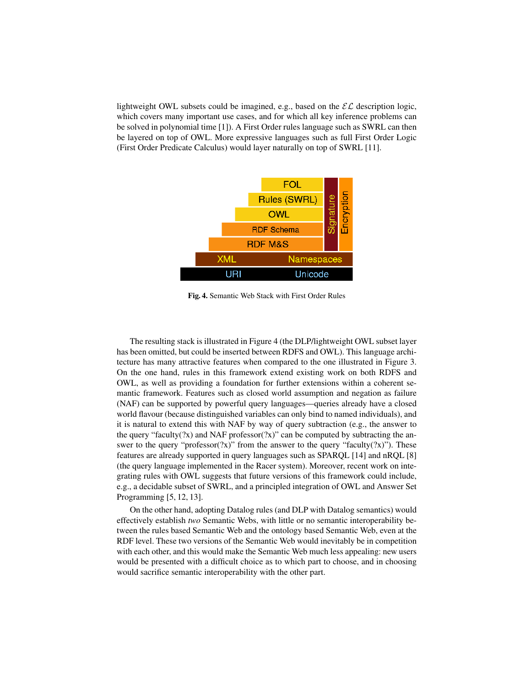lightweight OWL subsets could be imagined, e.g., based on the  $\mathcal{EL}$  description logic, which covers many important use cases, and for which all key inference problems can be solved in polynomial time [1]). A First Order rules language such as SWRL can then be layered on top of OWL. More expressive languages such as full First Order Logic (First Order Predicate Calculus) would layer naturally on top of SWRL [11].



Fig. 4. Semantic Web Stack with First Order Rules

The resulting stack is illustrated in Figure 4 (the DLP/lightweight OWL subset layer has been omitted, but could be inserted between RDFS and OWL). This language architecture has many attractive features when compared to the one illustrated in Figure 3. On the one hand, rules in this framework extend existing work on both RDFS and OWL, as well as providing a foundation for further extensions within a coherent semantic framework. Features such as closed world assumption and negation as failure (NAF) can be supported by powerful query languages—queries already have a closed world flavour (because distinguished variables can only bind to named individuals), and it is natural to extend this with NAF by way of query subtraction (e.g., the answer to the query "faculty(?x) and NAF professor(?x)" can be computed by subtracting the answer to the query "professor(?x)" from the answer to the query "faculty(?x)"). These features are already supported in query languages such as SPARQL [14] and nRQL [8] (the query language implemented in the Racer system). Moreover, recent work on integrating rules with OWL suggests that future versions of this framework could include, e.g., a decidable subset of SWRL, and a principled integration of OWL and Answer Set Programming [5, 12, 13].

On the other hand, adopting Datalog rules (and DLP with Datalog semantics) would effectively establish *two* Semantic Webs, with little or no semantic interoperability between the rules based Semantic Web and the ontology based Semantic Web, even at the RDF level. These two versions of the Semantic Web would inevitably be in competition with each other, and this would make the Semantic Web much less appealing: new users would be presented with a difficult choice as to which part to choose, and in choosing would sacrifice semantic interoperability with the other part.